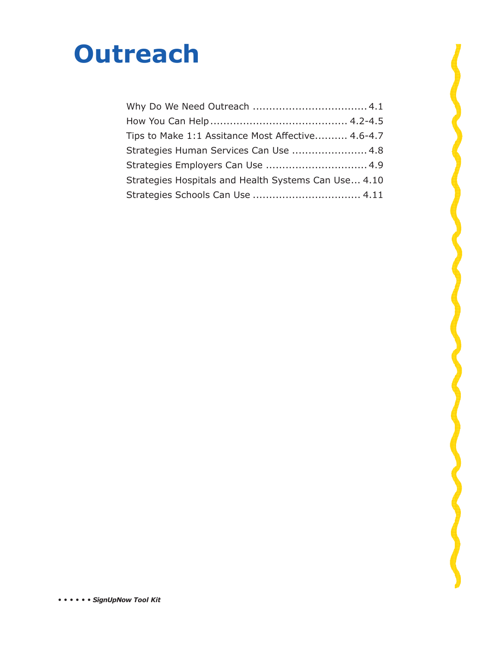# **Outreach**

| Tips to Make 1:1 Assitance Most Affective 4.6-4.7    |  |
|------------------------------------------------------|--|
| Strategies Human Services Can Use  4.8               |  |
|                                                      |  |
| Strategies Hospitals and Health Systems Can Use 4.10 |  |
|                                                      |  |

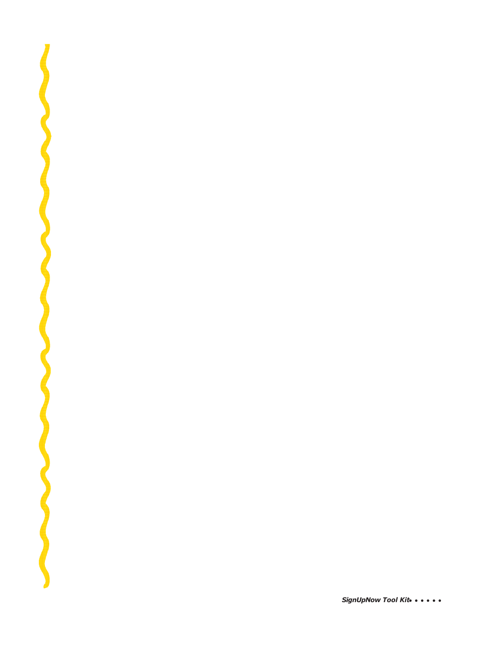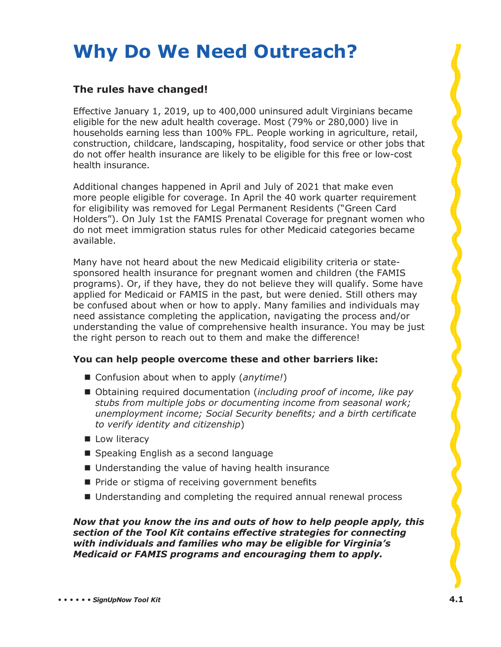## **Why Do We Need Outreach?**

#### **The rules have changed!**

Effective January 1, 2019, up to 400,000 uninsured adult Virginians became eligible for the new adult health coverage. Most (79% or 280,000) live in households earning less than 100% FPL. People working in agriculture, retail, construction, childcare, landscaping, hospitality, food service or other jobs that do not offer health insurance are likely to be eligible for this free or low-cost health insurance.

Additional changes happened in April and July of 2021 that make even more people eligible for coverage. In April the 40 work quarter requirement for eligibility was removed for Legal Permanent Residents ("Green Card Holders"). On July 1st the FAMIS Prenatal Coverage for pregnant women who do not meet immigration status rules for other Medicaid categories became available.

Many have not heard about the new Medicaid eligibility criteria or statesponsored health insurance for pregnant women and children (the FAMIS programs). Or, if they have, they do not believe they will qualify. Some have applied for Medicaid or FAMIS in the past, but were denied. Still others may be confused about when or how to apply. Many families and individuals may need assistance completing the application, navigating the process and/or understanding the value of comprehensive health insurance. You may be just the right person to reach out to them and make the difference!

#### **You can help people overcome these and other barriers like:**

- Confusion about when to apply (*anytime!*)
- Obtaining required documentation (*including proof of income, like pay stubs from multiple jobs or documenting income from seasonal work; unemployment income; Social Security benefits; and a birth certificate to verify identity and citizenship*)
- **Low literacy**
- Speaking English as a second language
- Understanding the value of having health insurance
- Pride or stigma of receiving government benefits
- Understanding and completing the required annual renewal process

*Now that you know the ins and outs of how to help people apply, this section of the Tool Kit contains effective strategies for connecting with individuals and families who may be eligible for Virginia's Medicaid or FAMIS programs and encouraging them to apply.*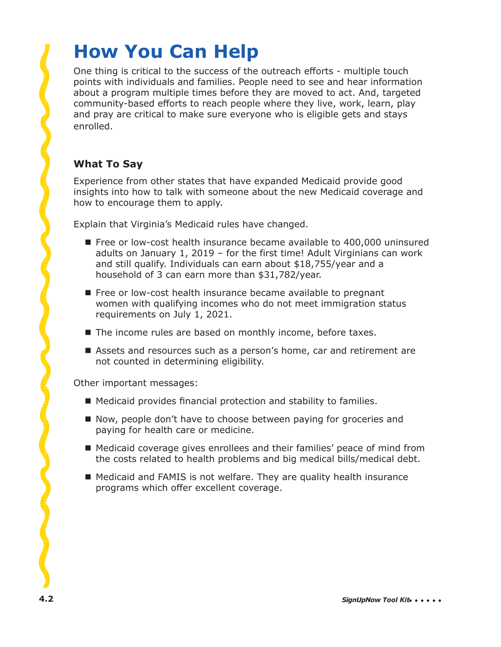# **How You Can Help**

One thing is critical to the success of the outreach efforts - multiple touch points with individuals and families. People need to see and hear information about a program multiple times before they are moved to act. And, targeted community-based efforts to reach people where they live, work, learn, play and pray are critical to make sure everyone who is eligible gets and stays enrolled.

### **What To Say**

Experience from other states that have expanded Medicaid provide good insights into how to talk with someone about the new Medicaid coverage and how to encourage them to apply.

Explain that Virginia's Medicaid rules have changed.

- Free or low-cost health insurance became available to 400,000 uninsured adults on January 1, 2019 – for the first time! Adult Virginians can work and still qualify. Individuals can earn about \$18,755/year and a household of 3 can earn more than \$31,782/year.
- Free or low-cost health insurance became available to pregnant women with qualifying incomes who do not meet immigration status requirements on July 1, 2021.
- The income rules are based on monthly income, before taxes.
- Assets and resources such as a person's home, car and retirement are not counted in determining eligibility.

Other important messages:

- Medicaid provides financial protection and stability to families.
- Now, people don't have to choose between paying for groceries and paying for health care or medicine.
- Medicaid coverage gives enrollees and their families' peace of mind from the costs related to health problems and big medical bills/medical debt.
- Medicaid and FAMIS is not welfare. They are quality health insurance programs which offer excellent coverage.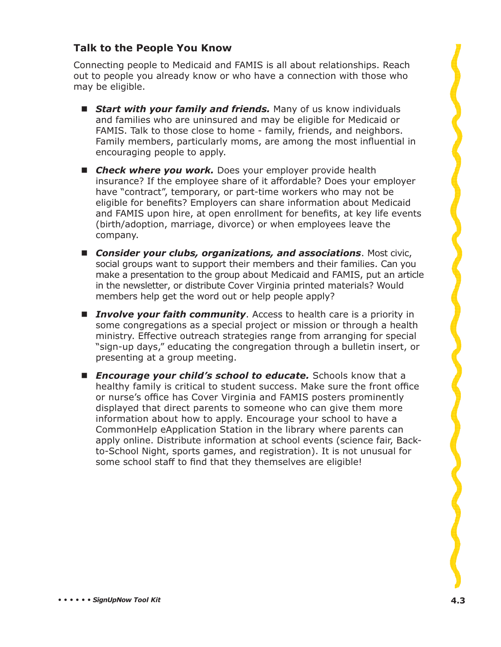#### **Talk to the People You Know**

Connecting people to Medicaid and FAMIS is all about relationships. Reach out to people you already know or who have a connection with those who may be eligible.

- **E** Start with your family and friends. Many of us know individuals and families who are uninsured and may be eligible for Medicaid or FAMIS. Talk to those close to home - family, friends, and neighbors. Family members, particularly moms, are among the most influential in encouraging people to apply.
- **E** Check where you work. Does your employer provide health insurance? If the employee share of it affordable? Does your employer have "contract", temporary, or part-time workers who may not be eligible for benefits? Employers can share information about Medicaid and FAMIS upon hire, at open enrollment for benefits, at key life events (birth/adoption, marriage, divorce) or when employees leave the company.
- *Consider your clubs, organizations, and associations*. Most civic, social groups want to support their members and their families. Can you make a presentation to the group about Medicaid and FAMIS, put an article in the newsletter, or distribute Cover Virginia printed materials? Would members help get the word out or help people apply?
- **Involve your faith community**. Access to health care is a priority in some congregations as a special project or mission or through a health ministry. Effective outreach strategies range from arranging for special "sign-up days," educating the congregation through a bulletin insert, or presenting at a group meeting.
- *Encourage your child's school to educate.* Schools know that a healthy family is critical to student success. Make sure the front office or nurse's office has Cover Virginia and FAMIS posters prominently displayed that direct parents to someone who can give them more information about how to apply. Encourage your school to have a CommonHelp eApplication Station in the library where parents can apply online. Distribute information at school events (science fair, Backto-School Night, sports games, and registration). It is not unusual for some school staff to find that they themselves are eligible!

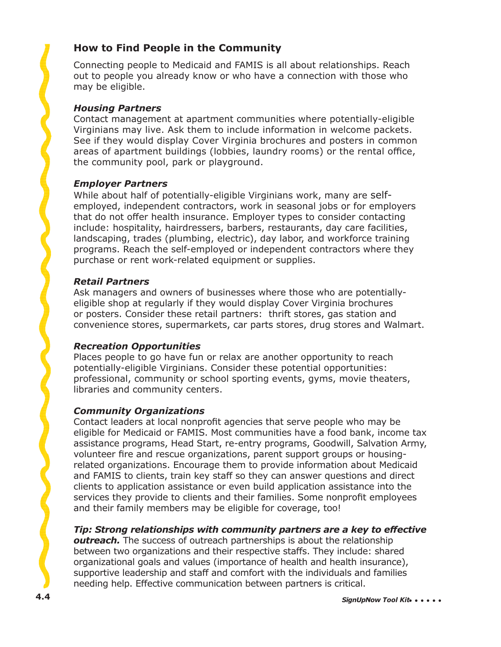### **How to Find People in the Community**

Connecting people to Medicaid and FAMIS is all about relationships. Reach out to people you already know or who have a connection with those who may be eligible.

#### *Housing Partners*

Contact management at apartment communities where potentially-eligible Virginians may live. Ask them to include information in welcome packets. See if they would display Cover Virginia brochures and posters in common areas of apartment buildings (lobbies, laundry rooms) or the rental office, the community pool, park or playground.

#### *Employer Partners*

While about half of potentially-eligible Virginians work, many are selfemployed, independent contractors, work in seasonal jobs or for employers that do not offer health insurance. Employer types to consider contacting include: hospitality, hairdressers, barbers, restaurants, day care facilities, landscaping, trades (plumbing, electric), day labor, and workforce training programs. Reach the self-employed or independent contractors where they purchase or rent work-related equipment or supplies.

#### *Retail Partners*

Ask managers and owners of businesses where those who are potentiallyeligible shop at regularly if they would display Cover Virginia brochures or posters. Consider these retail partners: thrift stores, gas station and convenience stores, supermarkets, car parts stores, drug stores and Walmart.

#### *Recreation Opportunities*

Places people to go have fun or relax are another opportunity to reach potentially-eligible Virginians. Consider these potential opportunities: professional, community or school sporting events, gyms, movie theaters, libraries and community centers.

#### *Community Organizations*

Contact leaders at local nonprofit agencies that serve people who may be eligible for Medicaid or FAMIS. Most communities have a food bank, income tax assistance programs, Head Start, re-entry programs, Goodwill, Salvation Army, volunteer fire and rescue organizations, parent support groups or housingrelated organizations. Encourage them to provide information about Medicaid and FAMIS to clients, train key staff so they can answer questions and direct clients to application assistance or even build application assistance into the services they provide to clients and their families. Some nonprofit employees and their family members may be eligible for coverage, too!

#### *Tip: Strong relationships with community partners are a key to effective*

*outreach.* The success of outreach partnerships is about the relationship between two organizations and their respective staffs. They include: shared organizational goals and values (importance of health and health insurance), supportive leadership and staff and comfort with the individuals and families needing help. Effective communication between partners is critical.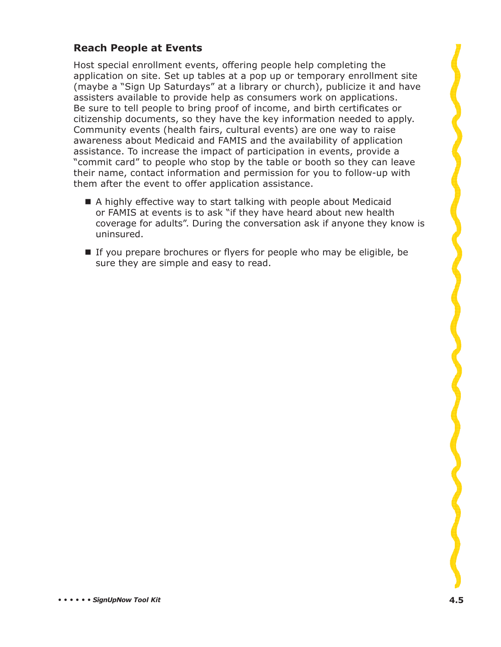#### **Reach People at Events**

Host special enrollment events, offering people help completing the application on site. Set up tables at a pop up or temporary enrollment site (maybe a "Sign Up Saturdays" at a library or church), publicize it and have assisters available to provide help as consumers work on applications. Be sure to tell people to bring proof of income, and birth certificates or citizenship documents, so they have the key information needed to apply. Community events (health fairs, cultural events) are one way to raise awareness about Medicaid and FAMIS and the availability of application assistance. To increase the impact of participation in events, provide a "commit card" to people who stop by the table or booth so they can leave their name, contact information and permission for you to follow-up with them after the event to offer application assistance.

- A highly effective way to start talking with people about Medicaid or FAMIS at events is to ask "if they have heard about new health coverage for adults". During the conversation ask if anyone they know is uninsured.
- If you prepare brochures or flyers for people who may be eligible, be sure they are simple and easy to read.

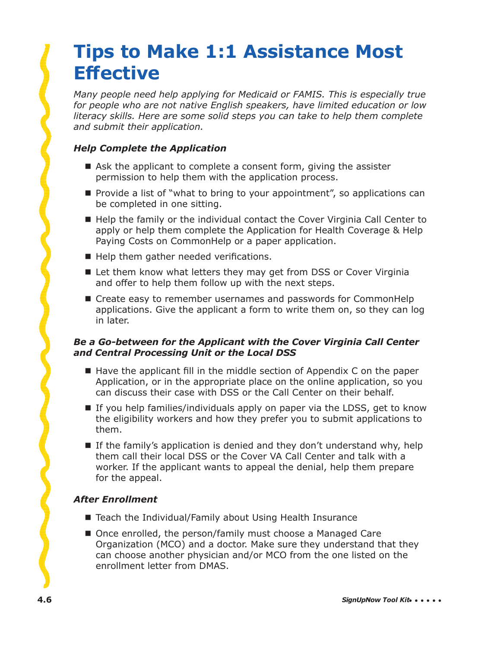### **Tips to Make 1:1 Assistance Most Effective**

*Many people need help applying for Medicaid or FAMIS. This is especially true for people who are not native English speakers, have limited education or low literacy skills. Here are some solid steps you can take to help them complete and submit their application.*

#### *Help Complete the Application*

- Ask the applicant to complete a consent form, giving the assister permission to help them with the application process.
- **Provide a list of "what to bring to your appointment", so applications can** be completed in one sitting.
- Help the family or the individual contact the Cover Virginia Call Center to apply or help them complete the Application for Health Coverage & Help Paying Costs on CommonHelp or a paper application.
- Help them gather needed verifications.
- Let them know what letters they may get from DSS or Cover Virginia and offer to help them follow up with the next steps.
- Create easy to remember usernames and passwords for CommonHelp applications. Give the applicant a form to write them on, so they can log in later.

#### *Be a Go-between for the Applicant with the Cover Virginia Call Center and Central Processing Unit or the Local DSS*

- $\blacksquare$  Have the applicant fill in the middle section of Appendix C on the paper Application, or in the appropriate place on the online application, so you can discuss their case with DSS or the Call Center on their behalf.
- If you help families/individuals apply on paper via the LDSS, get to know the eligibility workers and how they prefer you to submit applications to them.
- If the family's application is denied and they don't understand why, help them call their local DSS or the Cover VA Call Center and talk with a worker. If the applicant wants to appeal the denial, help them prepare for the appeal.

#### *After Enrollment*

- Teach the Individual/Family about Using Health Insurance
- Once enrolled, the person/family must choose a Managed Care Organization (MCO) and a doctor. Make sure they understand that they can choose another physician and/or MCO from the one listed on the enrollment letter from DMAS.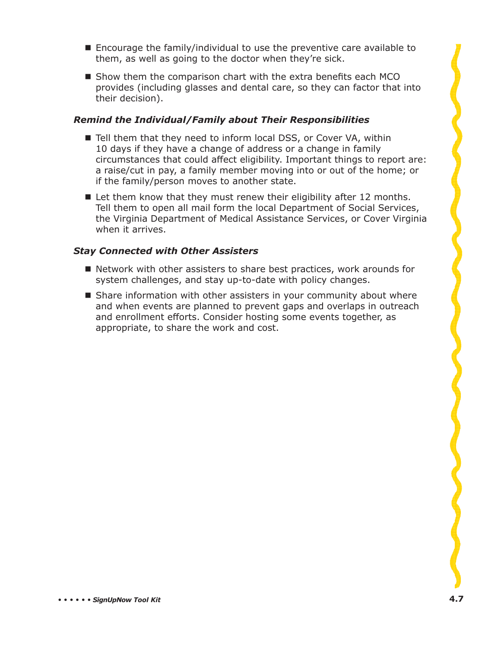- 
- Encourage the family/individual to use the preventive care available to them, as well as going to the doctor when they're sick.
- Show them the comparison chart with the extra benefits each MCO provides (including glasses and dental care, so they can factor that into their decision).

#### *Remind the Individual/Family about Their Responsibilities*

- Tell them that they need to inform local DSS, or Cover VA, within 10 days if they have a change of address or a change in family circumstances that could affect eligibility. Important things to report are: a raise/cut in pay, a family member moving into or out of the home; or if the family/person moves to another state.
- $\blacksquare$  Let them know that they must renew their eligibility after 12 months. Tell them to open all mail form the local Department of Social Services, the Virginia Department of Medical Assistance Services, or Cover Virginia when it arrives.

#### *Stay Connected with Other Assisters*

- Network with other assisters to share best practices, work arounds for system challenges, and stay up-to-date with policy changes.
- Share information with other assisters in your community about where and when events are planned to prevent gaps and overlaps in outreach and enrollment efforts. Consider hosting some events together, as appropriate, to share the work and cost.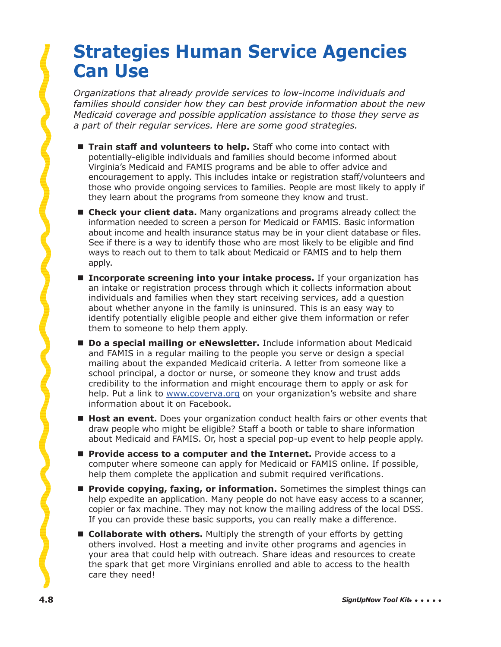### **Strategies Human Service Agencies Can Use**

*Organizations that already provide services to low-income individuals and families should consider how they can best provide information about the new Medicaid coverage and possible application assistance to those they serve as a part of their regular services. Here are some good strategies.* 

- **Train staff and volunteers to help.** Staff who come into contact with potentially-eligible individuals and families should become informed about Virginia's Medicaid and FAMIS programs and be able to offer advice and encouragement to apply. This includes intake or registration staff/volunteers and those who provide ongoing services to families. People are most likely to apply if they learn about the programs from someone they know and trust.
- **Check your client data.** Many organizations and programs already collect the information needed to screen a person for Medicaid or FAMIS. Basic information about income and health insurance status may be in your client database or files. See if there is a way to identify those who are most likely to be eligible and find ways to reach out to them to talk about Medicaid or FAMIS and to help them apply.
- **Incorporate screening into your intake process.** If your organization has an intake or registration process through which it collects information about individuals and families when they start receiving services, add a question about whether anyone in the family is uninsured. This is an easy way to identify potentially eligible people and either give them information or refer them to someone to help them apply.
- **Do a special mailing or eNewsletter.** Include information about Medicaid and FAMIS in a regular mailing to the people you serve or design a special mailing about the expanded Medicaid criteria. A letter from someone like a school principal, a doctor or nurse, or someone they know and trust adds credibility to the information and might encourage them to apply or ask for help. Put a link to www.coverva.org on your organization's website and share information about it on Facebook.
- **Host an event.** Does your organization conduct health fairs or other events that draw people who might be eligible? Staff a booth or table to share information about Medicaid and FAMIS. Or, host a special pop-up event to help people apply.
- **Provide access to a computer and the Internet.** Provide access to a computer where someone can apply for Medicaid or FAMIS online. If possible, help them complete the application and submit required verifications.
- **Provide copying, faxing, or information.** Sometimes the simplest things can help expedite an application. Many people do not have easy access to a scanner, copier or fax machine. They may not know the mailing address of the local DSS. If you can provide these basic supports, you can really make a difference.
- **E** Collaborate with others. Multiply the strength of your efforts by getting others involved. Host a meeting and invite other programs and agencies in your area that could help with outreach. Share ideas and resources to create the spark that get more Virginians enrolled and able to access to the health care they need!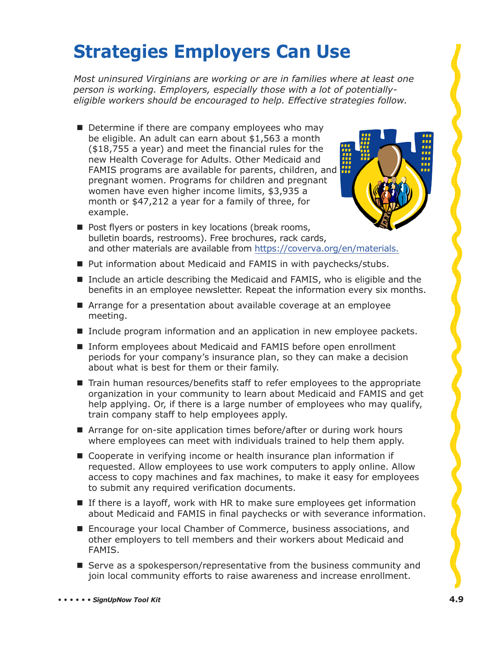### **Strategies Employers Can Use**

*Most uninsured Virginians are working or are in families where at least one person is working. Employers, especially those with a lot of potentiallyeligible workers should be encouraged to help. Effective strategies follow.*

 $\blacksquare$  Determine if there are company employees who may be eligible. An adult can earn about \$1,563 a month (\$18,755 a year) and meet the financial rules for the new Health Coverage for Adults. Other Medicaid and FAMIS programs are available for parents, children, and  $\mathbf f$ pregnant women. Programs for children and pregnant women have even higher income limits, \$3,935 a month or \$47,212 a year for a family of three, for example.



- $\blacksquare$  Post flyers or posters in key locations (break rooms, bulletin boards, restrooms). Free brochures, rack cards, and other materials are available from https://coverva.org/en/materials.
- **Put information about Medicaid and FAMIS in with paychecks/stubs.**
- Include an article describing the Medicaid and FAMIS, who is eligible and the benefits in an employee newsletter. Repeat the information every six months.
- Arrange for a presentation about available coverage at an employee meeting.
- Include program information and an application in new employee packets.
- Inform employees about Medicaid and FAMIS before open enrollment periods for your company's insurance plan, so they can make a decision about what is best for them or their family.
- $\blacksquare$  Train human resources/benefits staff to refer employees to the appropriate organization in your community to learn about Medicaid and FAMIS and get help applying. Or, if there is a large number of employees who may qualify, train company staff to help employees apply.
- Arrange for on-site application times before/after or during work hours where employees can meet with individuals trained to help them apply.
- Cooperate in verifying income or health insurance plan information if requested. Allow employees to use work computers to apply online. Allow access to copy machines and fax machines, to make it easy for employees to submit any required verification documents.
- If there is a layoff, work with HR to make sure employees get information about Medicaid and FAMIS in final paychecks or with severance information.
- Encourage your local Chamber of Commerce, business associations, and other employers to tell members and their workers about Medicaid and FAMIS.
- Serve as a spokesperson/representative from the business community and join local community efforts to raise awareness and increase enrollment.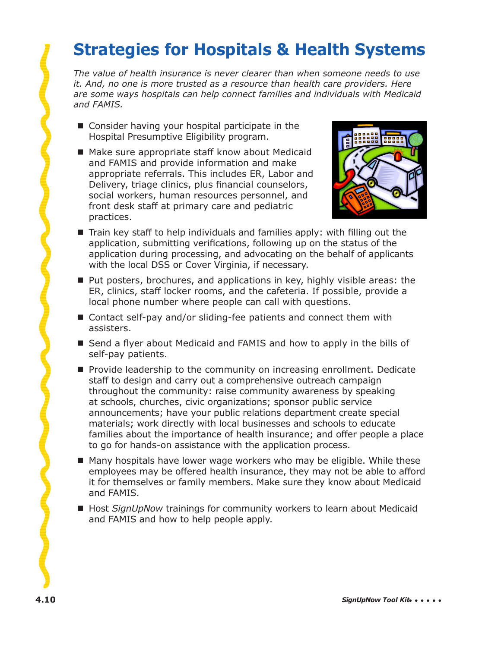### **Strategies for Hospitals & Health Systems**

*The value of health insurance is never clearer than when someone needs to use it. And, no one is more trusted as a resource than health care providers. Here are some ways hospitals can help connect families and individuals with Medicaid and FAMIS.* 

- Consider having your hospital participate in the Hospital Presumptive Eligibility program.
- Make sure appropriate staff know about Medicaid and FAMIS and provide information and make appropriate referrals. This includes ER, Labor and Delivery, triage clinics, plus financial counselors, social workers, human resources personnel, and front desk staff at primary care and pediatric practices.



- $\blacksquare$  Train key staff to help individuals and families apply: with filling out the application, submitting verifications, following up on the status of the application during processing, and advocating on the behalf of applicants with the local DSS or Cover Virginia, if necessary.
- Put posters, brochures, and applications in key, highly visible areas: the ER, clinics, staff locker rooms, and the cafeteria. If possible, provide a local phone number where people can call with questions.
- Contact self-pay and/or sliding-fee patients and connect them with assisters.
- Send a flyer about Medicaid and FAMIS and how to apply in the bills of self-pay patients.
- **Provide leadership to the community on increasing enrollment. Dedicate** staff to design and carry out a comprehensive outreach campaign throughout the community: raise community awareness by speaking at schools, churches, civic organizations; sponsor public service announcements; have your public relations department create special materials; work directly with local businesses and schools to educate families about the importance of health insurance; and offer people a place to go for hands-on assistance with the application process.
- Many hospitals have lower wage workers who may be eligible. While these employees may be offered health insurance, they may not be able to afford it for themselves or family members. Make sure they know about Medicaid and FAMIS.
- Host *SignUpNow* trainings for community workers to learn about Medicaid and FAMIS and how to help people apply.